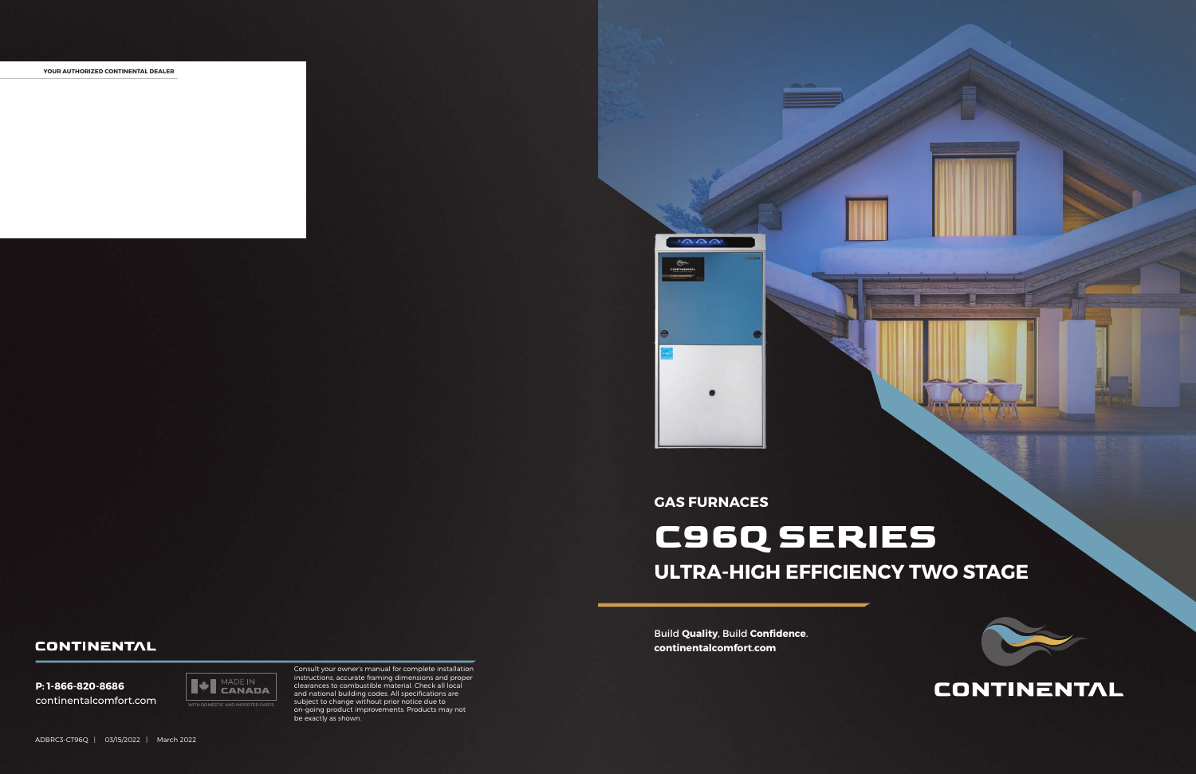## **CONTINENTAL**

Build **Quality**, Build **Confidence**. **continentalcomfort.com**

**YOUR AUTHORIZED CONTINENTAL DEALER**





Consult your owner's manual for complete installation instructions, accurate framing dimensions and proper clearances to combustible material. Check all local and national building codes. All specifications are subject to change without prior notice due to on-going product improvements. Products may not be exactly as shown.

### **GAS FURNACES**

# **C96Q SERIES ULTRA-HIGH EFFICIENCY TWO STAGE**

### **CONTINENTAL**

**P: 1-866-820-8686** continentalcomfort.com